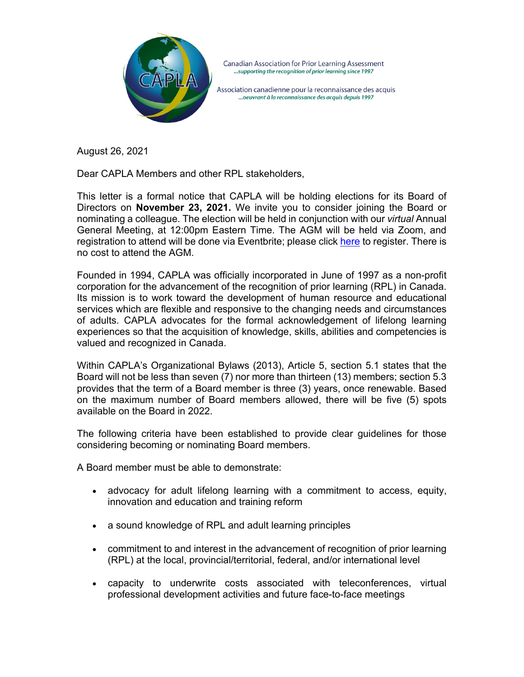

Association canadienne pour la reconnaissance des acquis ...oeuvrant à la reconnaissance des acquis depuis 1997

August 26, 2021

Dear CAPLA Members and other RPL stakeholders,

This letter is a formal notice that CAPLA will be holding elections for its Board of Directors on **November 23, 2021.** We invite you to consider joining the Board or nominating a colleague. The election will be held in conjunction with our *virtual* Annual General Meeting, at 12:00pm Eastern Time. The AGM will be held via Zoom, and registration to attend will be done via Eventbrite; please click [here](https://www.eventbrite.ca/e/capla-agm-tickets-165776294359?aff=ebdsoporgprofile) to register. There is no cost to attend the AGM.

Founded in 1994, CAPLA was officially incorporated in June of 1997 as a non-profit corporation for the advancement of the recognition of prior learning (RPL) in Canada. Its mission is to work toward the development of human resource and educational services which are flexible and responsive to the changing needs and circumstances of adults. CAPLA advocates for the formal acknowledgement of lifelong learning experiences so that the acquisition of knowledge, skills, abilities and competencies is valued and recognized in Canada.

Within CAPLA's Organizational Bylaws (2013), Article 5, section 5.1 states that the Board will not be less than seven (7) nor more than thirteen (13) members; section 5.3 provides that the term of a Board member is three (3) years, once renewable. Based on the maximum number of Board members allowed, there will be five (5) spots available on the Board in 2022.

The following criteria have been established to provide clear guidelines for those considering becoming or nominating Board members.

A Board member must be able to demonstrate:

- advocacy for adult lifelong learning with a commitment to access, equity, innovation and education and training reform
- a sound knowledge of RPL and adult learning principles
- commitment to and interest in the advancement of recognition of prior learning (RPL) at the local, provincial/territorial, federal, and/or international level
- capacity to underwrite costs associated with teleconferences, virtual professional development activities and future face-to-face meetings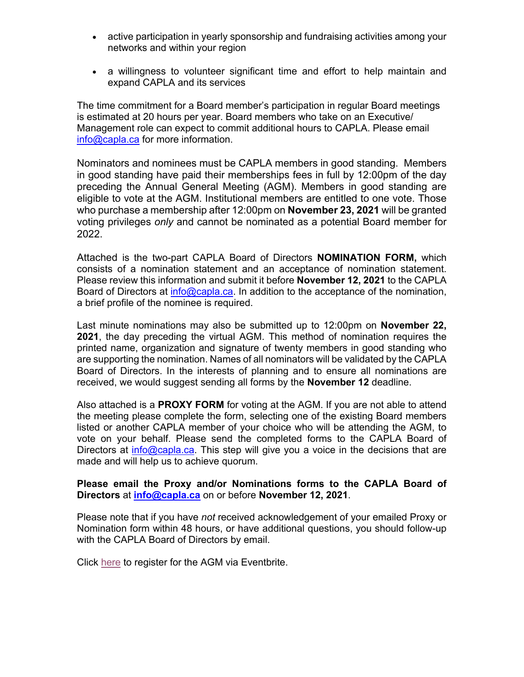- active participation in yearly sponsorship and fundraising activities among your networks and within your region
- a willingness to volunteer significant time and effort to help maintain and expand CAPLA and its services

The time commitment for a Board member's participation in regular Board meetings is estimated at 20 hours per year. Board members who take on an Executive/ Management role can expect to commit additional hours to CAPLA. Please email [info@capla.ca](mailto:info@capla.ca) for more information.

Nominators and nominees must be CAPLA members in good standing. Members in good standing have paid their memberships fees in full by 12:00pm of the day preceding the Annual General Meeting (AGM). Members in good standing are eligible to vote at the AGM. Institutional members are entitled to one vote. Those who purchase a membership after 12:00pm on **November 23, 2021** will be granted voting privileges *only* and cannot be nominated as a potential Board member for 2022.

Attached is the two-part CAPLA Board of Directors **NOMINATION FORM,** which consists of a nomination statement and an acceptance of nomination statement. Please review this information and submit it before **November 12, 2021** to the CAPLA Board of Directors at *info@capla.ca*. In addition to the acceptance of the nomination, a brief profile of the nominee is required.

Last minute nominations may also be submitted up to 12:00pm on **November 22, 2021**, the day preceding the virtual AGM. This method of nomination requires the printed name, organization and signature of twenty members in good standing who are supporting the nomination. Names of all nominators will be validated by the CAPLA Board of Directors. In the interests of planning and to ensure all nominations are received, we would suggest sending all forms by the **November 12** deadline.

Also attached is a **PROXY FORM** for voting at the AGM. If you are not able to attend the meeting please complete the form, selecting one of the existing Board members listed or another CAPLA member of your choice who will be attending the AGM, to vote on your behalf. Please send the completed forms to the CAPLA Board of Directors at [info@capla.ca.](mailto:info@capla.ca) This step will give you a voice in the decisions that are made and will help us to achieve quorum.

#### **Please email the Proxy and/or Nominations forms to the CAPLA Board of Directors** at **[info@capla.ca](mailto:info@capla.ca)** on or before **November 12, 2021**.

Please note that if you have *not* received acknowledgement of your emailed Proxy or Nomination form within 48 hours, or have additional questions, you should follow-up with the CAPLA Board of Directors by email.

Click [here](https://www.eventbrite.ca/e/capla-agm-tickets-165776294359?aff=ebdsoporgprofile) to register for the AGM via Eventbrite.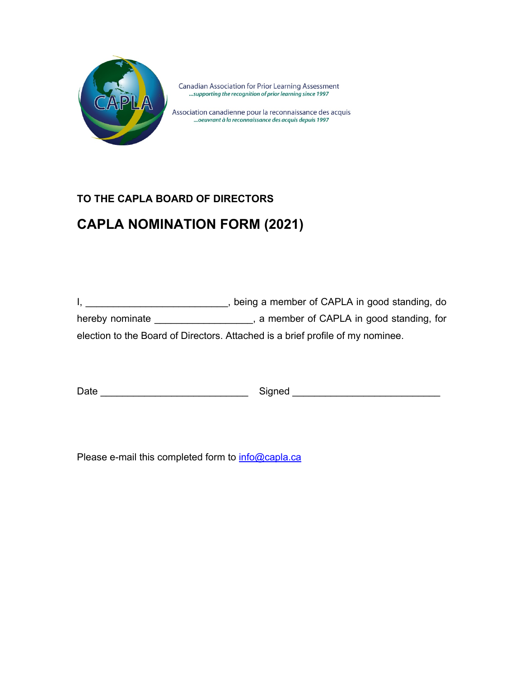

Association canadienne pour la reconnaissance des acquis ...oeuvrant à la reconnaissance des acquis depuis 1997

#### **TO THE CAPLA BOARD OF DIRECTORS**

# **CAPLA NOMINATION FORM (2021)**

I, \_\_\_\_\_\_\_\_\_\_\_\_\_\_\_\_\_\_\_\_\_\_\_\_\_\_\_\_, being a member of CAPLA in good standing, do hereby nominate \_\_\_\_\_\_\_\_\_\_\_\_\_\_\_\_\_, a member of CAPLA in good standing, for election to the Board of Directors. Attached is a brief profile of my nominee.

Date \_\_\_\_\_\_\_\_\_\_\_\_\_\_\_\_\_\_\_\_\_\_\_\_\_\_\_ Signed \_\_\_\_\_\_\_\_\_\_\_\_\_\_\_\_\_\_\_\_\_\_\_\_\_\_\_

Please e-mail this completed form to [info@capla.ca](mailto:info@capla.ca)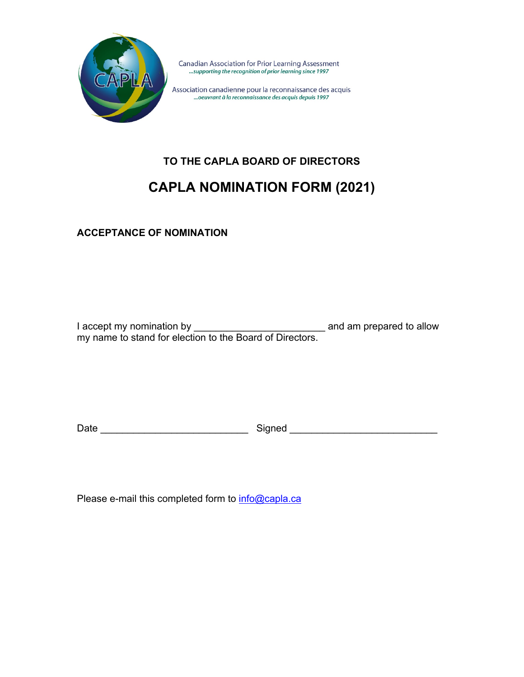

Association canadienne pour la reconnaissance des acquis ... oeuvrant à la reconnaissance des acquis depuis 1997

# **TO THE CAPLA BOARD OF DIRECTORS**

## **CAPLA NOMINATION FORM (2021)**

**ACCEPTANCE OF NOMINATION**

I accept my nomination by \_\_\_\_\_\_\_\_\_\_\_\_\_\_\_\_\_\_\_\_\_\_\_\_\_\_\_\_\_\_\_ and am prepared to allow my name to stand for election to the Board of Directors.

Date \_\_\_\_\_\_\_\_\_\_\_\_\_\_\_\_\_\_\_\_\_\_\_\_\_\_\_ Signed \_\_\_\_\_\_\_\_\_\_\_\_\_\_\_\_\_\_\_\_\_\_\_\_\_\_\_

Please e-mail this completed form to **info@capla.ca**